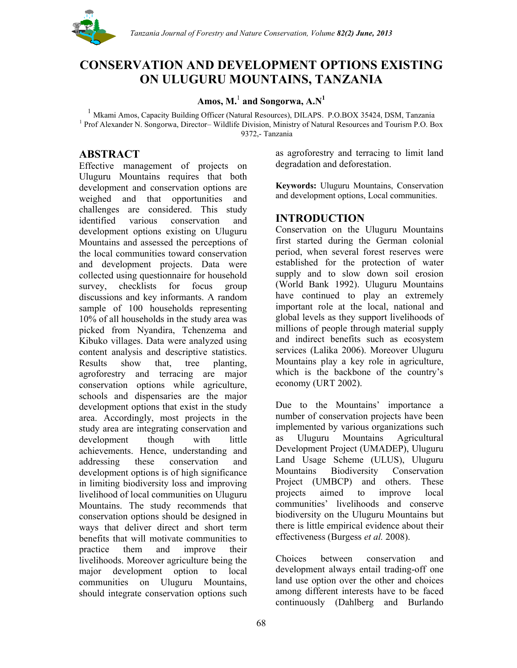

## **CONSERVATION AND DEVELOPMENT OPTIONS EXISTING ON ULUGURU MOUNTAINS, TANZANIA**

## **Amos, M.**<sup>1</sup> **and Songorwa, A.N1**

<sup>1</sup> Mkami Amos, Capacity Building Officer (Natural Resources), DILAPS. P.O.BOX 35424, DSM, Tanzania <sup>1</sup> Prof Alexander N. Songorwa, Director– Wildlife Division, Ministry of Natural Resources and Tourism P.O. Box 9372,- Tanzania

## **ABSTRACT**

Effective management of projects on Uluguru Mountains requires that both development and conservation options are weighed and that opportunities and challenges are considered. This study identified various conservation and development options existing on Uluguru Mountains and assessed the perceptions of the local communities toward conservation and development projects. Data were collected using questionnaire for household survey, checklists for focus group discussions and key informants. A random sample of 100 households representing 10% of all households in the study area was picked from Nyandira, Tchenzema and Kibuko villages. Data were analyzed using content analysis and descriptive statistics. Results show that, tree planting, agroforestry and terracing are major conservation options while agriculture, schools and dispensaries are the major development options that exist in the study area. Accordingly, most projects in the study area are integrating conservation and development though with little achievements. Hence, understanding and addressing these conservation and development options is of high significance in limiting biodiversity loss and improving livelihood of local communities on Uluguru Mountains. The study recommends that conservation options should be designed in ways that deliver direct and short term benefits that will motivate communities to practice them and improve their livelihoods. Moreover agriculture being the major development option to local communities on Uluguru Mountains, should integrate conservation options such

as agroforestry and terracing to limit land degradation and deforestation.

**Keywords:** Uluguru Mountains, Conservation and development options, Local communities.

## **INTRODUCTION**

Conservation on the Uluguru Mountains first started during the German colonial period, when several forest reserves were established for the protection of water supply and to slow down soil erosion (World Bank 1992). Uluguru Mountains have continued to play an extremely important role at the local, national and global levels as they support livelihoods of millions of people through material supply and indirect benefits such as ecosystem services (Lalika 2006). Moreover Uluguru Mountains play a key role in agriculture, which is the backbone of the country's economy (URT 2002).

Due to the Mountains' importance a number of conservation projects have been implemented by various organizations such as Uluguru Mountains Agricultural Development Project (UMADEP), Uluguru Land Usage Scheme (ULUS), Uluguru Mountains Biodiversity Conservation Project (UMBCP) and others. These projects aimed to improve local communities' livelihoods and conserve biodiversity on the Uluguru Mountains but there is little empirical evidence about their effectiveness (Burgess *et al.* 2008).

Choices between conservation and development always entail trading-off one land use option over the other and choices among different interests have to be faced continuously (Dahlberg and Burlando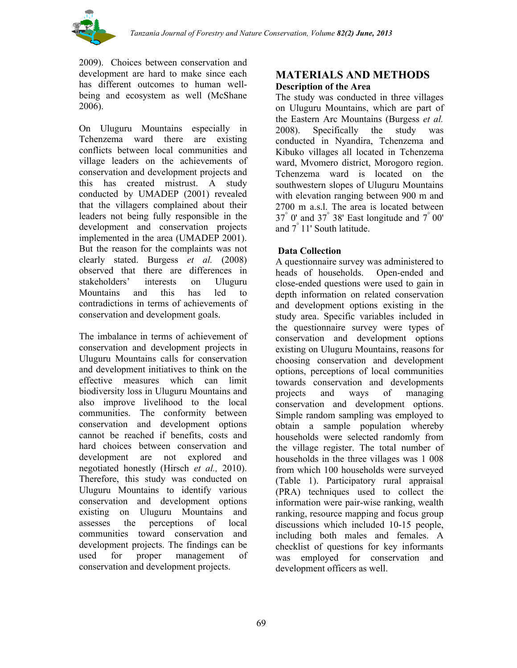

2009). Choices between conservation and development are hard to make since each has different outcomes to human wellbeing and ecosystem as well (McShane 2006).

On Uluguru Mountains especially in Tchenzema ward there are existing conflicts between local communities and village leaders on the achievements of conservation and development projects and this has created mistrust. A study conducted by UMADEP (2001) revealed that the villagers complained about their leaders not being fully responsible in the development and conservation projects implemented in the area (UMADEP 2001). But the reason for the complaints was not clearly stated. Burgess *et al.* (2008) observed that there are differences in stakeholders' interests on Uluguru Mountains and this has led to contradictions in terms of achievements of conservation and development goals.

The imbalance in terms of achievement of conservation and development projects in Uluguru Mountains calls for conservation and development initiatives to think on the effective measures which can limit biodiversity loss in Uluguru Mountains and also improve livelihood to the local communities. The conformity between conservation and development options cannot be reached if benefits, costs and hard choices between conservation and development are not explored and negotiated honestly (Hirsch *et al.,* 2010). Therefore, this study was conducted on Uluguru Mountains to identify various conservation and development options existing on Uluguru Mountains and assesses the perceptions of local communities toward conservation and development projects. The findings can be used for proper management of conservation and development projects.

## **MATERIALS AND METHODS Description of the Area**

The study was conducted in three villages on Uluguru Mountains, which are part of the Eastern Arc Mountains (Burgess *et al.* 2008). Specifically the study was conducted in Nyandira, Tchenzema and Kibuko villages all located in Tchenzema ward, Mvomero district, Morogoro region. Tchenzema ward is located on the southwestern slopes of Uluguru Mountains with elevation ranging between 900 m and 2700 m a.s.l. The area is located between  $37^\circ$  0' and  $37^\circ$  38' East longitude and  $7^\circ$  00' and 7° 11' South latitude.

## **Data Collection**

A questionnaire survey was administered to heads of households. Open-ended and close-ended questions were used to gain in depth information on related conservation and development options existing in the study area. Specific variables included in the questionnaire survey were types of conservation and development options existing on Uluguru Mountains, reasons for choosing conservation and development options, perceptions of local communities towards conservation and developments projects and ways of managing conservation and development options. Simple random sampling was employed to obtain a sample population whereby households were selected randomly from the village register. The total number of households in the three villages was 1 008 from which 100 households were surveyed (Table 1). Participatory rural appraisal (PRA) techniques used to collect the information were pair-wise ranking, wealth ranking, resource mapping and focus group discussions which included 10-15 people, including both males and females. A checklist of questions for key informants was employed for conservation and development officers as well.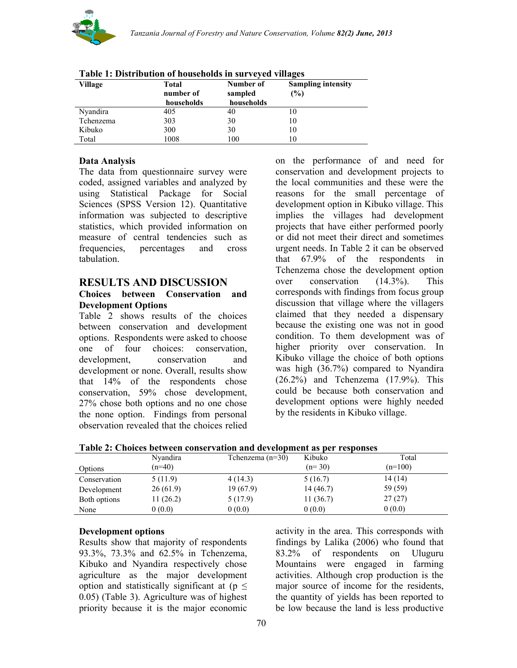

| Village   | Total<br>number of<br>households | Number of<br>sampled<br>households | <b>Sampling intensity</b><br>(%) |
|-----------|----------------------------------|------------------------------------|----------------------------------|
| Nyandira  | 405                              | 40                                 |                                  |
| Tchenzema | 303                              | 30                                 | 10                               |
| Kibuko    | 300                              | 30                                 | 10                               |
| Total     | 1008                             | 100                                |                                  |

|  | Table 1: Distribution of households in surveyed villages |  |
|--|----------------------------------------------------------|--|
|  |                                                          |  |

## **Data Analysis**

The data from questionnaire survey were coded, assigned variables and analyzed by using Statistical Package for Social Sciences (SPSS Version 12). Quantitative information was subjected to descriptive statistics, which provided information on measure of central tendencies such as frequencies, percentages and cross tabulation.

### **RESULTS AND DISCUSSION**

#### **Choices between Conservation and Development Options**

Table 2 shows results of the choices between conservation and development options. Respondents were asked to choose one of four choices: conservation, development, conservation and development or none. Overall, results show that 14% of the respondents chose conservation, 59% chose development, 27% chose both options and no one chose the none option. Findings from personal observation revealed that the choices relied on the performance of and need for conservation and development projects to the local communities and these were the reasons for the small percentage of development option in Kibuko village. This implies the villages had development projects that have either performed poorly or did not meet their direct and sometimes urgent needs. In Table 2 it can be observed that 67.9% of the respondents in Tchenzema chose the development option over conservation (14.3%). This corresponds with findings from focus group discussion that village where the villagers claimed that they needed a dispensary because the existing one was not in good condition. To them development was of higher priority over conservation. In Kibuko village the choice of both options was high (36.7%) compared to Nyandira (26.2%) and Tchenzema (17.9%). This could be because both conservation and development options were highly needed by the residents in Kibuko village.

**Table 2: Choices between conservation and development as per responses**

|              | Nyandira | Tchenzema $(n=30)$ | Kibuko    | Total     |
|--------------|----------|--------------------|-----------|-----------|
| Options      | $(n=40)$ |                    | $(n=30)$  | $(n=100)$ |
| Conservation | 5(11.9)  | 4(14.3)            | 5(16.7)   | 14(14)    |
| Development  | 26(61.9) | 19(67.9)           | 14 (46.7) | 59 (59)   |
| Both options | 11(26.2) | 5(17.9)            | 11(36.7)  | 27(27)    |
| None         | 0(0.0)   | 0(0.0)             | 0(0.0)    | 0(0.0)    |

## **Development options**

Results show that majority of respondents 93.3%, 73.3% and 62.5% in Tchenzema, Kibuko and Nyandira respectively chose agriculture as the major development option and statistically significant at ( $p \leq$ 0.05) (Table 3). Agriculture was of highest priority because it is the major economic activity in the area. This corresponds with findings by Lalika (2006) who found that 83.2% of respondents on Uluguru Mountains were engaged in farming activities. Although crop production is the major source of income for the residents, the quantity of yields has been reported to be low because the land is less productive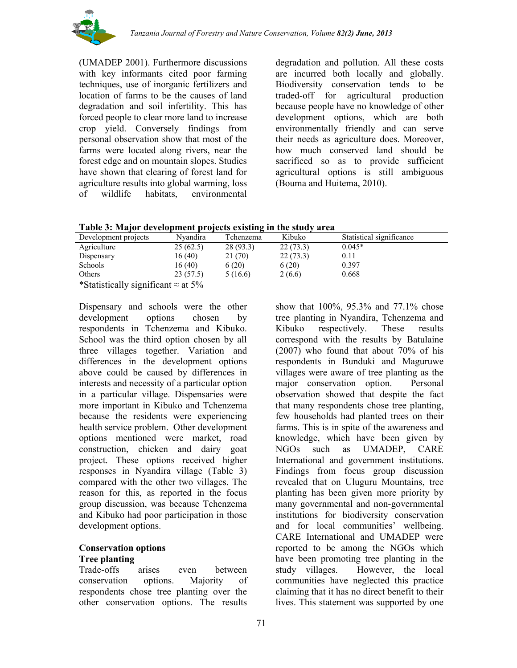

(UMADEP 2001). Furthermore discussions with key informants cited poor farming techniques, use of inorganic fertilizers and location of farms to be the causes of land degradation and soil infertility. This has forced people to clear more land to increase crop yield. Conversely findings from personal observation show that most of the farms were located along rivers, near the forest edge and on mountain slopes. Studies have shown that clearing of forest land for agriculture results into global warming, loss of wildlife habitats, environmental

degradation and pollution. All these costs are incurred both locally and globally. Biodiversity conservation tends to be traded-off for agricultural production because people have no knowledge of other development options, which are both environmentally friendly and can serve their needs as agriculture does. Moreover, how much conserved land should be sacrificed so as to provide sufficient agricultural options is still ambiguous (Bouma and Huitema, 2010).

|  |  | Table 3: Major development projects existing in the study area |
|--|--|----------------------------------------------------------------|

| Development projects                         | Nvandira   | Tchenzema | Kibuko   | Statistical significance |  |
|----------------------------------------------|------------|-----------|----------|--------------------------|--|
| Agriculture                                  | 25(62.5)   | 28 (93.3) | 22(73.3) | $0.045*$                 |  |
| Dispensary                                   | 16(40)     | 21 (70)   | 22(73.3) | 0.11                     |  |
| Schools                                      | 16(40)     | 6(20)     | 6(20)    | 0.397                    |  |
| Others                                       | 23 (57.5)  | 5(16.6)   | 2 (6.6)  | 0.668                    |  |
| $\cdot$ $\sim$<br>$\cdots$<br>$\blacksquare$ | $\sqrt{2}$ |           |          |                          |  |

\*Statistically significant  $\approx$  at 5%

Dispensary and schools were the other development options chosen by respondents in Tchenzema and Kibuko. School was the third option chosen by all three villages together. Variation and differences in the development options above could be caused by differences in interests and necessity of a particular option in a particular village. Dispensaries were more important in Kibuko and Tchenzema because the residents were experiencing health service problem. Other development options mentioned were market, road construction, chicken and dairy goat project. These options received higher responses in Nyandira village (Table 3) compared with the other two villages. The reason for this, as reported in the focus group discussion, was because Tchenzema and Kibuko had poor participation in those development options.

### **Conservation options Tree planting**

Trade-offs arises even between conservation options. Majority of respondents chose tree planting over the other conservation options. The results

show that 100%, 95.3% and 77.1% chose tree planting in Nyandira, Tchenzema and Kibuko respectively. These results correspond with the results by Batulaine (2007) who found that about 70% of his respondents in Bunduki and Maguruwe villages were aware of tree planting as the major conservation option. Personal observation showed that despite the fact that many respondents chose tree planting, few households had planted trees on their farms. This is in spite of the awareness and knowledge, which have been given by NGOs such as UMADEP, CARE International and government institutions. Findings from focus group discussion revealed that on Uluguru Mountains, tree planting has been given more priority by many governmental and non-governmental institutions for biodiversity conservation and for local communities' wellbeing. CARE International and UMADEP were reported to be among the NGOs which have been promoting tree planting in the study villages. However, the local communities have neglected this practice claiming that it has no direct benefit to their lives. This statement was supported by one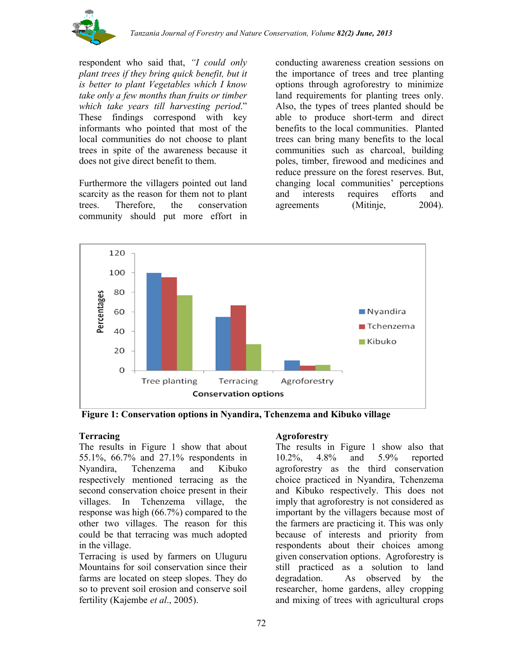

respondent who said that, *"I could only plant trees if they bring quick benefit, but it is better to plant Vegetables which I know take only a few months than fruits or timber which take years till harvesting period*." These findings correspond with key informants who pointed that most of the local communities do not choose to plant trees in spite of the awareness because it does not give direct benefit to them.

Furthermore the villagers pointed out land scarcity as the reason for them not to plant trees. Therefore, the conservation community should put more effort in

conducting awareness creation sessions on the importance of trees and tree planting options through agroforestry to minimize land requirements for planting trees only. Also, the types of trees planted should be able to produce short-term and direct benefits to the local communities. Planted trees can bring many benefits to the local communities such as charcoal, building poles, timber, firewood and medicines and reduce pressure on the forest reserves. But, changing local communities' perceptions and interests requires efforts and agreements (Mitinje, 2004).



**Figure 1: Conservation options in Nyandira, Tchenzema and Kibuko village**

## **Terracing**

The results in Figure 1 show that about 55.1%, 66.7% and 27.1% respondents in Nyandira, Tchenzema and Kibuko respectively mentioned terracing as the second conservation choice present in their villages. In Tchenzema village, the response was high (66.7%) compared to the other two villages. The reason for this could be that terracing was much adopted in the village.

Terracing is used by farmers on Uluguru Mountains for soil conservation since their farms are located on steep slopes. They do so to prevent soil erosion and conserve soil fertility (Kajembe *et al*., 2005).

#### **Agroforestry**

The results in Figure 1 show also that 10.2%, 4.8% and 5.9% reported agroforestry as the third conservation choice practiced in Nyandira, Tchenzema and Kibuko respectively. This does not imply that agroforestry is not considered as important by the villagers because most of the farmers are practicing it. This was only because of interests and priority from respondents about their choices among given conservation options. Agroforestry is still practiced as a solution to land degradation. As observed by the researcher, home gardens, alley cropping and mixing of trees with agricultural crops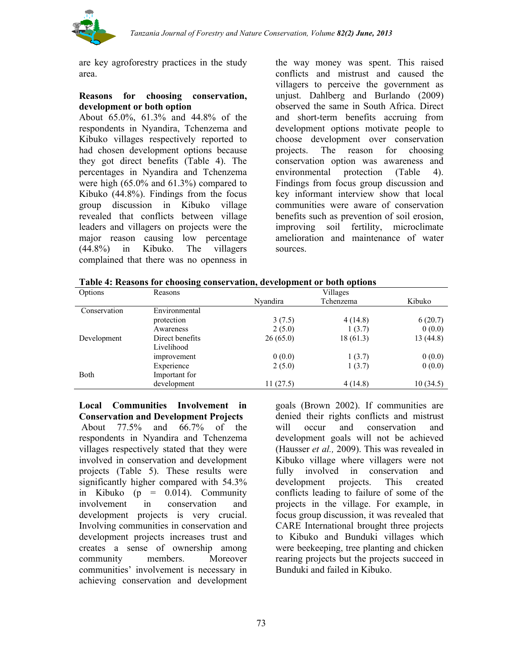

are key agroforestry practices in the study area.

#### **Reasons for choosing conservation, development or both option**

About 65.0%, 61.3% and 44.8% of the respondents in Nyandira, Tchenzema and Kibuko villages respectively reported to had chosen development options because they got direct benefits (Table 4). The percentages in Nyandira and Tchenzema were high (65.0% and 61.3%) compared to Kibuko (44.8%). Findings from the focus group discussion in Kibuko village revealed that conflicts between village leaders and villagers on projects were the major reason causing low percentage (44.8%) in Kibuko. The villagers complained that there was no openness in

the way money was spent. This raised conflicts and mistrust and caused the villagers to perceive the government as unjust. Dahlberg and Burlando (2009) observed the same in South Africa. Direct and short-term benefits accruing from development options motivate people to choose development over conservation projects. The reason for choosing conservation option was awareness and environmental protection (Table 4). Findings from focus group discussion and key informant interview show that local communities were aware of conservation benefits such as prevention of soil erosion, improving soil fertility, microclimate amelioration and maintenance of water sources.

|  | Table 4: Reasons for choosing conservation, development or both options |  |
|--|-------------------------------------------------------------------------|--|
|  |                                                                         |  |

| Options      | Reasons         | Villages        |           |          |  |  |  |
|--------------|-----------------|-----------------|-----------|----------|--|--|--|
|              |                 | <b>Nyandira</b> | Tchenzema | Kibuko   |  |  |  |
| Conservation | Environmental   |                 |           |          |  |  |  |
|              | protection      | 3(7.5)          | 4(14.8)   | 6(20.7)  |  |  |  |
|              | Awareness       | 2(5.0)          | 1(3.7)    | 0(0.0)   |  |  |  |
| Development  | Direct benefits | 26(65.0)        | 18(61.3)  | 13(44.8) |  |  |  |
|              | Livelihood      |                 |           |          |  |  |  |
|              | improvement     | 0(0.0)          | 1(3.7)    | 0(0.0)   |  |  |  |
|              | Experience      | 2(5.0)          | 1(3.7)    | 0(0.0)   |  |  |  |
| <b>Both</b>  | Important for   |                 |           |          |  |  |  |
|              | development     | 11(27.5)        | 4(14.8)   | 10(34.5) |  |  |  |

**Local Communities Involvement in Conservation and Development Projects** About 77.5% and 66.7% of the respondents in Nyandira and Tchenzema villages respectively stated that they were involved in conservation and development projects (Table 5). These results were significantly higher compared with 54.3% in Kibuko (p =  $0.014$ ). Community involvement in conservation and development projects is very crucial. Involving communities in conservation and development projects increases trust and creates a sense of ownership among community members. Moreover communities' involvement is necessary in achieving conservation and development

goals (Brown 2002). If communities are denied their rights conflicts and mistrust will occur and conservation and development goals will not be achieved (Hausser *et al.,* 2009). This was revealed in Kibuko village where villagers were not fully involved in conservation and development projects. This created conflicts leading to failure of some of the projects in the village. For example, in focus group discussion, it was revealed that CARE International brought three projects to Kibuko and Bunduki villages which were beekeeping, tree planting and chicken rearing projects but the projects succeed in Bunduki and failed in Kibuko.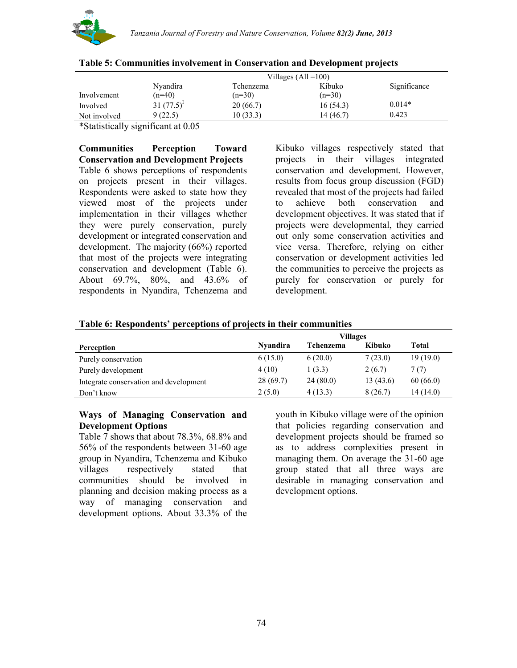

|              | Villages $(All = 100)$ |           |           |              |  |  |  |  |
|--------------|------------------------|-----------|-----------|--------------|--|--|--|--|
|              | Nyandira               | Tchenzema | Kibuko    | Significance |  |  |  |  |
| Involvement  | $(n=40)$               | $(n=30)$  | $(n=30)$  |              |  |  |  |  |
| Involved     | $31(77.5)^1$           | 20(66.7)  | 16(54.3)  | $0.014*$     |  |  |  |  |
| Not involved | 9 (22.5)               | 10(33.3)  | 14 (46.7) | 0.423        |  |  |  |  |

#### **Table 5: Communities involvement in Conservation and Development projects**

\*Statistically significant at 0.05

**Communities Perception Toward Conservation and Development Projects** Table 6 shows perceptions of respondents on projects present in their villages. Respondents were asked to state how they viewed most of the projects under implementation in their villages whether they were purely conservation, purely development or integrated conservation and development. The majority (66%) reported that most of the projects were integrating conservation and development (Table 6). About 69.7%, 80%, and 43.6% of respondents in Nyandira, Tchenzema and

Kibuko villages respectively stated that projects in their villages integrated conservation and development. However, results from focus group discussion (FGD) revealed that most of the projects had failed to achieve both conservation and development objectives. It was stated that if projects were developmental, they carried out only some conservation activities and vice versa. Therefore, relying on either conservation or development activities led the communities to perceive the projects as purely for conservation or purely for development.

#### **Table 6: Respondents' perceptions of projects in their communities**

|                                        | <b>Villages</b> |           |          |           |  |  |  |
|----------------------------------------|-----------------|-----------|----------|-----------|--|--|--|
| Perception                             | <b>Nyandira</b> | Tchenzema | Kibuko   | Total     |  |  |  |
| Purely conservation                    | 6(15.0)         | 6(20.0)   | 7(23.0)  | 19(19.0)  |  |  |  |
| Purely development                     | 4(10)           | 1(3.3)    | 2(6.7)   | 7(7)      |  |  |  |
| Integrate conservation and development | 28(69.7)        | 24(80.0)  | 13(43.6) | 60(66.0)  |  |  |  |
| Don't know                             | 2(5.0)          | 4(13.3)   | 8(26.7)  | 14 (14.0) |  |  |  |

#### **Ways of Managing Conservation and Development Options**

Table 7 shows that about 78.3%, 68.8% and 56% of the respondents between 31-60 age group in Nyandira, Tchenzema and Kibuko villages respectively stated that communities should be involved in planning and decision making process as a way of managing conservation and development options. About 33.3% of the

youth in Kibuko village were of the opinion that policies regarding conservation and development projects should be framed so as to address complexities present in managing them. On average the 31-60 age group stated that all three ways are desirable in managing conservation and development options.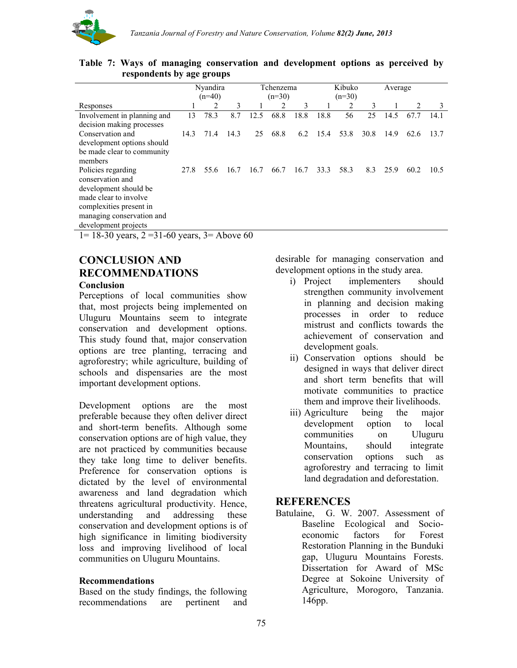

|                             |      | Nyandira |      |      | Tchenzema |      |      | Kibuko   |      | Average |      |      |
|-----------------------------|------|----------|------|------|-----------|------|------|----------|------|---------|------|------|
|                             |      | $(n=40)$ |      |      | $(n=30)$  |      |      | $(n=30)$ |      |         |      |      |
| Responses                   |      | 2        | 3    |      | 2         | 3    |      | 2        | 3    | 1       | 2    | 3    |
| Involvement in planning and | 13   | 78.3     | 8.7  | 12.5 | 68.8      | 18.8 | 18.8 | 56       | 25   | 14.5    | 67.7 | 14.1 |
| decision making processes   |      |          |      |      |           |      |      |          |      |         |      |      |
| Conservation and            | 14.3 | 71.4     | 14.3 | 25   | 68.8      | 6.2  | 15.4 | 53.8     | 30.8 | 14.9    | 62.6 | 13.7 |
| development options should  |      |          |      |      |           |      |      |          |      |         |      |      |
| be made clear to community  |      |          |      |      |           |      |      |          |      |         |      |      |
| members                     |      |          |      |      |           |      |      |          |      |         |      |      |
| Policies regarding          | 27.8 | 55.6     | 16.7 | 16.7 | 66.7      | 16.7 | 33.3 | 58.3     | 8.3  | 25.9    | 60.2 | 10.5 |
| conservation and            |      |          |      |      |           |      |      |          |      |         |      |      |
| development should be       |      |          |      |      |           |      |      |          |      |         |      |      |
| made clear to involve       |      |          |      |      |           |      |      |          |      |         |      |      |
| complexities present in     |      |          |      |      |           |      |      |          |      |         |      |      |
| managing conservation and   |      |          |      |      |           |      |      |          |      |         |      |      |
| development projects        |      |          |      |      |           |      |      |          |      |         |      |      |

**Table 7: Ways of managing conservation and development options as perceived by respondents by age groups**

 $1= 18-30$  years,  $2 = 31-60$  years,  $3=$  Above 60

# **CONCLUSION AND RECOMMENDATIONS**

### **Conclusion**

Perceptions of local communities show that, most projects being implemented on Uluguru Mountains seem to integrate conservation and development options. This study found that, major conservation options are tree planting, terracing and agroforestry; while agriculture, building of schools and dispensaries are the most important development options.

Development options are the most preferable because they often deliver direct and short-term benefits. Although some conservation options are of high value, they are not practiced by communities because they take long time to deliver benefits. Preference for conservation options is dictated by the level of environmental awareness and land degradation which threatens agricultural productivity. Hence, understanding and addressing these conservation and development options is of high significance in limiting biodiversity loss and improving livelihood of local communities on Uluguru Mountains.

#### **Recommendations**

Based on the study findings, the following recommendations are pertinent and desirable for managing conservation and development options in the study area.

- i) Project implementers should strengthen community involvement in planning and decision making processes in order to reduce mistrust and conflicts towards the achievement of conservation and development goals.
- ii) Conservation options should be designed in ways that deliver direct and short term benefits that will motivate communities to practice them and improve their livelihoods.
- iii) Agriculture being the major development option to local communities on Uluguru Mountains, should integrate conservation options such as agroforestry and terracing to limit land degradation and deforestation.

## **REFERENCES**

Batulaine, G. W. 2007. Assessment of Baseline Ecological and Socioeconomic factors for Forest Restoration Planning in the Bunduki gap, Uluguru Mountains Forests. Dissertation for Award of MSc Degree at Sokoine University of Agriculture, Morogoro, Tanzania. 146pp.